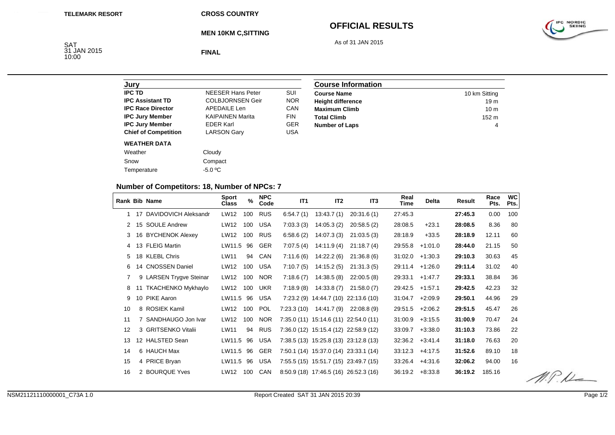**MEN 10KM C,SITTING**

#### **OFFICIAL RESULTS**

As of 31 JAN 2015

SAT 31 JAN 2015 10:00

**FINAL**

| Jury                        |                          |            |
|-----------------------------|--------------------------|------------|
| <b>IPC TD</b>               | <b>NFFSFR Hans Peter</b> | SUI        |
| <b>IPC Assistant TD</b>     | <b>COLBJORNSEN Geir</b>  | <b>NOR</b> |
| <b>IPC Race Director</b>    | <b>APEDAILE Len</b>      | CAN        |
| <b>IPC Jury Member</b>      | <b>KAIPAINEN Marita</b>  | <b>FIN</b> |
| <b>IPC Jury Member</b>      | <b>EDER Karl</b>         | <b>GER</b> |
| <b>Chief of Competition</b> | <b>LARSON Gary</b>       | USA        |
| <b>WEATHER DATA</b>         |                          |            |
| Weather                     | Cloudy                   |            |
| Snow                        | Compact                  |            |
| Temperature                 | $-5.0 °C$                |            |

| <b>Course Information</b> |                 |
|---------------------------|-----------------|
| <b>Course Name</b>        | 10 km Sitting   |
| <b>Height difference</b>  | 19 <sub>m</sub> |
| <b>Maximum Climb</b>      | 10 <sub>m</sub> |
| <b>Total Climb</b>        | $152 \text{ m}$ |
| <b>Number of Laps</b>     | 4               |

# **Number of Competitors: 18, Number of NPCs: 7**

|    |    | <b>Rank Bib Name</b>      | <b>Sport</b><br><b>Class</b> | $\%$ | <b>NPC</b><br>Code | IT <sub>1</sub> | IT <sub>2</sub>                        | IT3          | Real<br>Time | <b>Delta</b> | Result  | Race<br>Pts. | <b>WC</b><br>Pts. |
|----|----|---------------------------|------------------------------|------|--------------------|-----------------|----------------------------------------|--------------|--------------|--------------|---------|--------------|-------------------|
| 1  | 17 | DAVIDOVICH Aleksandr      | LW12                         | 100  | <b>RUS</b>         | 6.54.7(1)       | 13:43.7(1)                             | 20:31.6(1)   | 27:45.3      |              | 27:45.3 | 0.00         | 100               |
| 2  |    | 15 SOULE Andrew           | LW12                         | 100  | <b>USA</b>         | 7:03.3(3)       | 14:05.3(2)                             | 20:58.5(2)   | 28:08.5      | $+23.1$      | 28:08.5 | 8.36         | 80                |
| 3  |    | 16 BYCHENOK Alexey        | LW12                         | 100  | RUS                | 6:58.6(2)       | 14:07.3(3)                             | 21:03.5(3)   | 28:18.9      | $+33.5$      | 28:18.9 | 12.11        | 60                |
| 4  |    | 13 FLEIG Martin           | LW11.5                       | 96   | GER                | 7:07.5(4)       | 14:11.9 (4)                            | 21:18.7(4)   | 29:55.8      | $+1:01.0$    | 28:44.0 | 21.15        | 50                |
| 5  |    | 18 KLEBL Chris            | LW11                         | 94   | CAN                | 7:11.6(6)       | 14:22.2 (6)                            | 21:36.8(6)   | 31:02.0      | $+1:30.3$    | 29:10.3 | 30.63        | 45                |
| 6  |    | 14 CNOSSEN Daniel         | LW12                         | 100  | USA                | 7:10.7(5)       | 14:15.2(5)                             | 21:31.3(5)   | 29:11.4      | $+1:26.0$    | 29:11.4 | 31.02        | 40                |
| 7  |    | 9 LARSEN Trygve Steinar   | LW12                         | 100  | <b>NOR</b>         | 7:18.6(7)       | 14:38.5(8)                             | 22:00.5(8)   | 29:33.1      | $+1.47.7$    | 29:33.1 | 38.84        | 36                |
| 8  |    | <b>TKACHENKO Mykhaylo</b> | LW12                         | 100  | <b>UKR</b>         | 7:18.9(8)       | 14:33.8(7)                             | 21:58.0(7)   | 29:42.5      | $+1:57.1$    | 29:42.5 | 42.23        | 32                |
| 9  | 10 | PIKE Aaron                | LW11.5                       | 96   | <b>USA</b>         | 7:23.2(9)       | 14:44.7 (10)                           | 22:13.6 (10) | 31:04.7      | $+2:09.9$    | 29:50.1 | 44.96        | 29                |
| 10 |    | 8 ROSIEK Kamil            | LW12                         | 100  | <b>POL</b>         | 7:23.3(10)      | 14:41.7 (9)                            | 22:08.8(9)   | 29:51.5      | $+2:06.2$    | 29:51.5 | 45.47        | 26                |
| 11 |    | 7 SANDHAUGO Jon Ivar      | LW12                         | 100  | <b>NOR</b>         |                 | 7:35.0 (11) 15:14.6 (11) 22:54.0 (11)  |              | 31:00.9      | $+3:15.5$    | 31:00.9 | 70.47        | 24                |
| 12 |    | 3 GRITSENKO Vitalii       | LW11                         | 94   | RUS                |                 | 7:36.0 (12) 15:15.4 (12) 22:58.9 (12)  |              | 33:09.7      | $+3:38.0$    | 31:10.3 | 73.86        | 22                |
| 13 |    | 12 HALSTED Sean           | LW11.5                       | 96   | <b>USA</b>         |                 | 7:38.5 (13) 15:25.8 (13) 23:12.8 (13)  |              | 32:36.2      | $+3.41.4$    | 31:18.0 | 76.63        | 20                |
| 14 |    | 6 HAUCH Max               | LW11.5                       | 96   | <b>GER</b>         |                 | 7:50.1 (14) 15:37.0 (14) 23:33.1 (14)  |              | 33:12.3      | $+4:17.5$    | 31:52.6 | 89.10        | 18                |
| 15 |    | 4 PRICE Bryan             | LW11.5                       | 96   | <b>USA</b>         |                 | 7:55.5 (15) 15:51.7 (15) 23:49.7 (15)  |              | 33:26.4      | $+4:31.6$    | 32:06.2 | 94.00        | 16                |
| 16 |    | 2 BOURQUE Yves            | LW12                         | 100  | <b>CAN</b>         |                 | $8:50.9(18)$ 17:46.5 (16) 26:52.3 (16) |              | 36:19.2      | $+8.33.8$    | 36:19.2 | 185.16       |                   |

 $M.P.L$ 

IPC NORDIC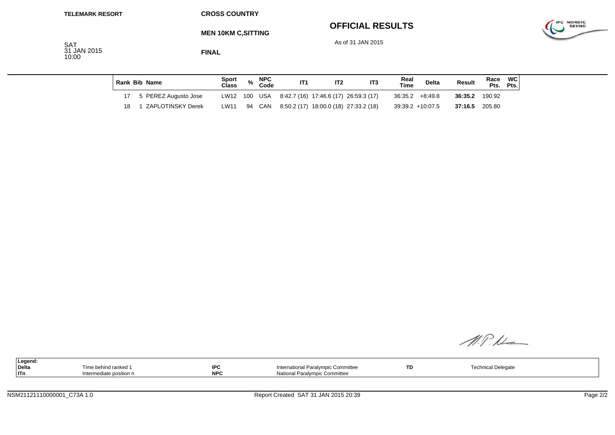#### **OFFICIAL RESULTS**



As of 31 JAN 2015



**FINAL**

| Rank Bib Name           | Sport<br><b>Class</b> | <b>NPC</b><br>Code | IT <sub>1</sub> | IT <sub>3</sub>                                    | Real<br>Time | Delta             | <b>Result</b> | Race<br>Pts. | WC<br>Pts. |
|-------------------------|-----------------------|--------------------|-----------------|----------------------------------------------------|--------------|-------------------|---------------|--------------|------------|
| 17 5 PEREZ Augusto Jose |                       |                    |                 | LW12 100 USA 8:42.7 (16) 17:46.6 (17) 26:59.3 (17) |              | $36:35.2 +8:49.8$ | 36:35.2       | 190.92       |            |
| ZAPLOTINSKY Derek       | LW11                  | 94 CAN             |                 | 8:50.2 (17) 18:00.0 (18) 27:33.2 (18)              |              | 39:39.2 +10:07.5  | 37:16.5       | 205.80       |            |

M.P.K

| l Legend: |                        |            |                                    |     |                       |  |
|-----------|------------------------|------------|------------------------------------|-----|-----------------------|--|
| Delta     | e behind ranked        | <b>IPC</b> | International Paralympic Committee | TD. | <sup>1</sup> Delegate |  |
| ∣ITn      | ntermediate position r | <b>NPC</b> | National Paralympic Committee      |     |                       |  |

IPC NORDIC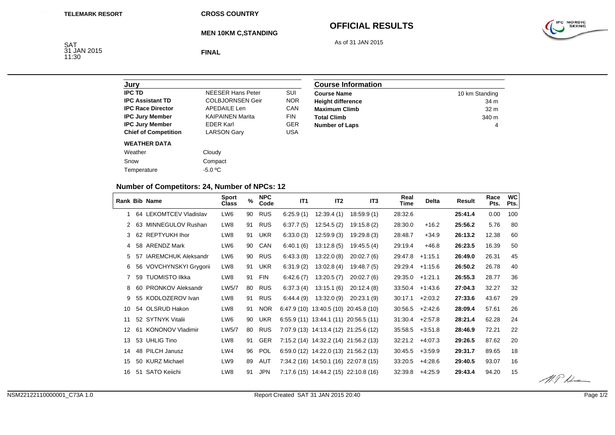**MEN 10KM C,STANDING**

# **OFFICIAL RESULTS**

As of 31 JAN 2015



SAT<br>31 JAN 2015<br>11:30

**FINAL**

| Jurv                        |                          |            |
|-----------------------------|--------------------------|------------|
| <b>IPC TD</b>               | <b>NEESER Hans Peter</b> | SUI        |
| <b>IPC Assistant TD</b>     | <b>COLBJORNSEN Geir</b>  | <b>NOR</b> |
| <b>IPC Race Director</b>    | APFDAIL F Len            | CAN        |
| <b>IPC Jury Member</b>      | <b>KAIPAINEN Marita</b>  | <b>FIN</b> |
| <b>IPC Jury Member</b>      | <b>FDFR Karl</b>         | <b>GER</b> |
| <b>Chief of Competition</b> | <b>LARSON Gary</b>       | USA        |
| <b>WEATHER DATA</b>         |                          |            |
| Weather                     | Cloudy                   |            |
| Snow                        | Compact                  |            |
| Temperature                 | $-5.0 °C$                |            |

| <b>Course Information</b> |                 |  |  |  |  |  |
|---------------------------|-----------------|--|--|--|--|--|
| <b>Course Name</b>        | 10 km Standing  |  |  |  |  |  |
| <b>Height difference</b>  | 34 m            |  |  |  |  |  |
| <b>Maximum Climb</b>      | 32 <sub>m</sub> |  |  |  |  |  |
| <b>Total Climb</b>        | 340 m           |  |  |  |  |  |
| <b>Number of Laps</b>     |                 |  |  |  |  |  |

# **Number of Competitors: 24, Number of NPCs: 12**

|    |     | Rank Bib Name              | <b>Sport</b><br>Class | $\%$ | <b>NPC</b><br>Code | IT <sub>1</sub> | IT <sub>2</sub>                        | IT <sub>3</sub> | Real<br>Time | Delta     | Result  | Race<br>Pts. | <b>WC</b><br>Pts. |
|----|-----|----------------------------|-----------------------|------|--------------------|-----------------|----------------------------------------|-----------------|--------------|-----------|---------|--------------|-------------------|
| 1  | 64  | <b>LEKOMTCEV Vladislav</b> | LW <sub>6</sub>       | 90   | <b>RUS</b>         | 6:25.9(1)       | 12:39.4(1)                             | 18:59.9(1)      | 28:32.6      |           | 25:41.4 | 0.00         | 100               |
|    | 63  | MINNEGULOV Rushan          | LW8                   | 91   | <b>RUS</b>         | 6:37.7(5)       | 12:54.5(2)                             | 19:15.8(2)      | 28:30.0      | $+16.2$   | 25:56.2 | 5.76         | 80                |
| 3  |     | 62 REPTYUKH Ihor           | LW8                   | 91   | UKR                | 6:33.0(3)       | 12:59.9(3)                             | 19:29.8(3)      | 28:48.7      | $+34.9$   | 26:13.2 | 12.38        | 60                |
| 4  |     | 58 ARENDZ Mark             | LW6                   | 90   | CAN                | 6:40.1(6)       | 13:12.8(5)                             | 19:45.5(4)      | 29:19.4      | $+46.8$   | 26:23.5 | 16.39        | 50                |
| 5  | -57 | <b>IAREMCHUK Aleksandr</b> | LW6                   | 90   | <b>RUS</b>         | 6:43.3(8)       | 13:22.0(8)                             | 20:02.7(6)      | 29:47.8      | $+1:15.1$ | 26:49.0 | 26.31        | 45                |
| 6  |     | 56 VOVCHYNSKYI Grygorii    | LW8                   | 91   | <b>UKR</b>         | 6:31.9(2)       | 13:02.8(4)                             | 19.48.7(5)      | 29:29.4      | $+1:15.6$ | 26:50.2 | 26.78        | 40                |
|    | 59  | <b>TUOMISTO IIkka</b>      | LW8                   | 91   | <b>FIN</b>         | 6.42.6(7)       | 13:20.5(7)                             | 20:02.7(6)      | 29:35.0      | $+1:21.1$ | 26:55.3 | 28.77        | 36                |
| 8  | 60  | <b>PRONKOV Aleksandr</b>   | LW5/7                 | 80   | <b>RUS</b>         | 6:37.3(4)       | 13:15.1(6)                             | 20:12.4(8)      | 33:50.4      | $+1:43.6$ | 27:04.3 | 32.27        | 32                |
| 9  | 55  | KODLOZEROV Ivan            | LW8                   | 91   | <b>RUS</b>         | 6:44.4(9)       | 13:32.0(9)                             | 20:23.1(9)      | 30:17.1      | $+2:03.2$ | 27:33.6 | 43.67        | 29                |
| 10 |     | 54 OLSRUD Hakon            | LW8                   | 91   | <b>NOR</b>         |                 | $6:47.9(10)$ 13:40.5 (10)              | 20:45.8 (10)    | 30:56.5      | $+2:42.6$ | 28:09.4 | 57.61        | 26                |
| 11 |     | 52 SYTNYK Vitalii          | LW6                   | 90   | UKR                |                 | $6:55.9(11)$ 13:44.1 (11) 20:56.5 (11) |                 | 31:30.4      | $+2:57.8$ | 28:21.4 | 62.28        | 24                |
| 12 | 61  | <b>KONONOV Vladimir</b>    | LW5/7                 | 80   | <b>RUS</b>         |                 | 7:07.9 (13) 14:13.4 (12) 21:25.6 (12)  |                 | 35:58.5      | $+3:51.8$ | 28:46.9 | 72.21        | 22                |
| 13 |     | 53 UHLIG Tino              | LW8                   | 91   | <b>GER</b>         |                 | 7:15.2 (14) 14:32.2 (14) 21:56.2 (13)  |                 | 32:21.2      | $+4.07.3$ | 29:26.5 | 87.62        | 20                |
| 14 |     | 48 PILCH Janusz            | LW4                   | 96   | <b>POL</b>         |                 | 6:59.0 (12) 14:22.0 (13) 21:56.2 (13)  |                 | 30:45.5      | $+3.59.9$ | 29:31.7 | 89.65        | 18                |
| 15 | 50  | <b>KURZ Michael</b>        | LW9                   | 89   | AUT                |                 | 7:34.2 (16) 14:50.1 (16)               | 22:07.8 (15)    | 33:20.5      | $+4:28.6$ | 29:40.5 | 93.07        | 16                |
| 16 | -51 | <b>SATO Keiichi</b>        | LW8                   | 91   | <b>JPN</b>         |                 | 7:17.6 (15) 14:44.2 (15) 22:10.8 (16)  |                 | 32:39.8      | $+4:25.9$ | 29:43.4 | 94.20        | 15                |

 $M.P.L$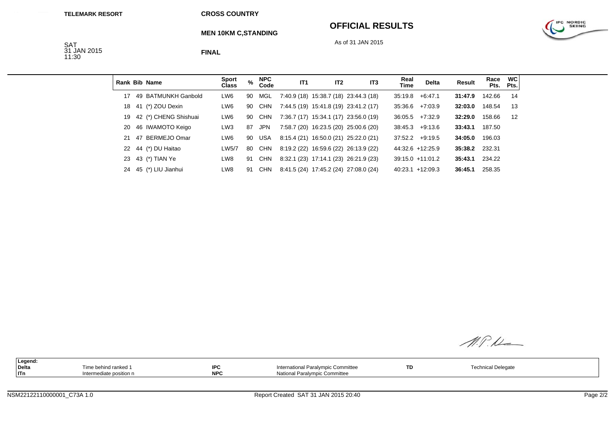#### **OFFICIAL RESULTS**

As of 31 JAN 2015



**MEN 10KM C,STANDING**

SAT<br>31 JAN 2015<br>11:30

**FINAL**

|    |    | Rank Bib Name         | <b>Sport</b><br><b>Class</b> | %  | <b>NPC</b><br>Code | IT <sub>1</sub> | IT <sub>2</sub> | IT <sub>3</sub>                       | Real<br>Time | <b>Delta</b>        | Result  | Race<br>Pts. | <b>WC</b><br>Pts. |
|----|----|-----------------------|------------------------------|----|--------------------|-----------------|-----------------|---------------------------------------|--------------|---------------------|---------|--------------|-------------------|
| 17 |    | 49 BATMUNKH Ganbold   | LW <sub>6</sub>              | 90 | MGL                |                 |                 | 7:40.9 (18) 15:38.7 (18) 23:44.3 (18) | 35:19.8      | $+6.47.1$           | 31:47.9 | 142.66       | 14                |
| 18 |    | 41 (*) ZOU Dexin      | LW6                          | 90 | CHN                |                 |                 | 7:44.5 (19) 15:41.8 (19) 23:41.2 (17) | 35:36.6      | $+7.03.9$           | 32:03.0 | 148.54       | 13                |
| 19 |    | 42 (*) CHENG Shishuai | LW <sub>6</sub>              | 90 | CHN                |                 |                 | 7:36.7 (17) 15:34.1 (17) 23:56.0 (19) | 36:05.5      | $+7:32.9$           | 32:29.0 | 158.66       | 12                |
| 20 |    | 46 IWAMOTO Keigo      | LW <sub>3</sub>              | 87 | <b>JPN</b>         |                 |                 | 7:58.7 (20) 16:23.5 (20) 25:00.6 (20) |              | $38:45.3 +9:13.6$   | 33:43.1 | 187.50       |                   |
| 21 | 47 | BERMEJO Omar          | LW6                          | 90 | USA                |                 |                 | 8:15.4 (21) 16:50.0 (21) 25:22.0 (21) |              | $37:52.2 +9:19.5$   | 34:05.0 | 196.03       |                   |
| 22 |    | 44 (*) DU Haitao      | LW5/7                        | 80 | CHN                |                 |                 | 8:19.2 (22) 16:59.6 (22) 26:13.9 (22) |              | 44:32.6 +12:25.9    | 35:38.2 | 232.31       |                   |
| 23 |    | 43 (*) TIAN Ye        | LW8                          | 91 | <b>CHN</b>         |                 |                 | 8:32.1 (23) 17:14.1 (23) 26:21.9 (23) |              | $39:15.0 + 11:01.2$ | 35:43.1 | 234.22       |                   |
| 24 |    | 45 (*) LIU Jianhui    | LW8                          | 91 | <b>CHN</b>         |                 |                 | 8:41.5 (24) 17:45.2 (24) 27:08.0 (24) |              | $40:23.1 +12:09.3$  | 36:45.1 | 258.35       |                   |

M.P.N

| Legend: |                        |                     |                                    |    |                    |  |
|---------|------------------------|---------------------|------------------------------------|----|--------------------|--|
| Delta   | . Time behind ranked   | I <sub>0</sub><br>∼ | International Paralympic Committee | TD | Technical Delegate |  |
| ITn     | ntermediate position n | <b>NPC</b>          | National Paralympic Committee      |    |                    |  |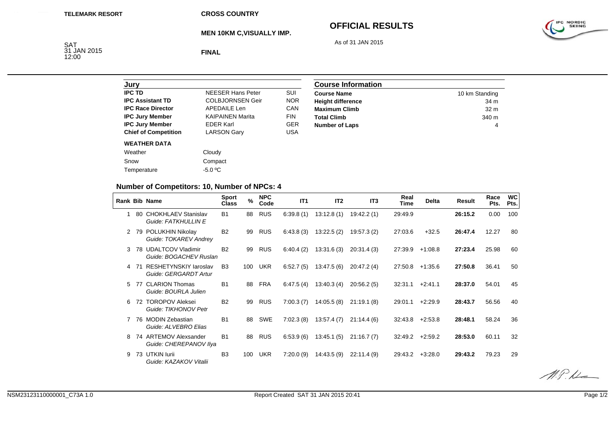**MEN 10KM C,VISUALLY IMP.**

# **OFFICIAL RESULTS**

As of 31 JAN 2015

IPC NORDIC

SAT 31 JAN 2015 12:00

**FINAL**

| Jurv                        |                          |            |
|-----------------------------|--------------------------|------------|
| <b>IPC TD</b>               | <b>NEESER Hans Peter</b> | SUI        |
| <b>IPC Assistant TD</b>     | <b>COLBJORNSEN Geir</b>  | <b>NOR</b> |
| <b>IPC Race Director</b>    | <b>APEDAILE Len</b>      | CAN        |
| <b>IPC Jury Member</b>      | <b>KAIPAINEN Marita</b>  | <b>FIN</b> |
| <b>IPC Jury Member</b>      | <b>EDER Karl</b>         | <b>GER</b> |
| <b>Chief of Competition</b> | <b>LARSON Gary</b>       | USA        |
| <b>WEATHER DATA</b>         |                          |            |
| Weather                     | Cloudy                   |            |
| Snow                        | Compact                  |            |
| Temperature                 | $-5.0 °C$                |            |
|                             |                          |            |

| <b>Course Information</b> |                  |  |  |  |  |
|---------------------------|------------------|--|--|--|--|
| <b>Course Name</b>        | 10 km Standing   |  |  |  |  |
| <b>Height difference</b>  | 34 m             |  |  |  |  |
| <b>Maximum Climb</b>      | 32 <sub>m</sub>  |  |  |  |  |
| <b>Total Climb</b>        | 340 <sub>m</sub> |  |  |  |  |
| <b>Number of Laps</b>     | 4                |  |  |  |  |

# **Number of Competitors: 10, Number of NPCs: 4**

|    |     | Rank Bib Name                                         | <b>Sport</b><br>Class | $\frac{0}{0}$ | <b>NPC</b><br>Code | IT <sub>1</sub> | IT <sub>2</sub> | IT <sub>3</sub> | Real<br>Time | <b>Delta</b> | Result  | Race<br>Pts. | <b>WC</b><br>Pts. |
|----|-----|-------------------------------------------------------|-----------------------|---------------|--------------------|-----------------|-----------------|-----------------|--------------|--------------|---------|--------------|-------------------|
|    | 80  | <b>CHOKHLAEV Stanislav</b><br>Guide: FATKHULLIN E     | <b>B1</b>             | 88            | <b>RUS</b>         | 6:39.8(1)       | 13:12.8(1)      | 19:42.2 (1)     | 29:49.9      |              | 26:15.2 | 0.00         | 100               |
|    | 79  | POLUKHIN Nikolay<br>Guide: TOKAREV Andrey             | <b>B2</b>             | 99            | <b>RUS</b>         | 6:43.8(3)       | 13:22.5(2)      | 19:57.3(2)      | 27:03.6      | $+32.5$      | 26:47.4 | 12.27        | 80                |
| 3  | 78. | <b>UDALTCOV Vladimir</b><br>Guide: BOGACHEV Ruslan    | <b>B2</b>             | 99            | <b>RUS</b>         | 6:40.4(2)       | 13:31.6(3)      | 20:31.4(3)      | 27:39.9      | $+1:08.8$    | 27:23.4 | 25.98        | 60                |
|    | 71  | <b>RESHETYNSKIY laroslav</b><br>Guide: GERGARDT Artur | B <sub>3</sub>        | 100           | <b>UKR</b>         | 6:52.7(5)       | 13.47.5(6)      | 20:47.2(4)      | 27:50.8      | $+1:35.6$    | 27:50.8 | 36.41        | 50                |
| 5. | 77  | <b>CLARION Thomas</b><br>Guide: BOURLA Julien         | <b>B1</b>             | 88            | <b>FRA</b>         | 6:47.5(4)       | 13.40.3(4)      | 20:56.2(5)      | 32:31.1      | $+2:41.1$    | 28:37.0 | 54.01        | 45                |
| 6  | 72  | <b>TOROPOV Aleksei</b><br>Guide: TIKHONOV Petr        | <b>B2</b>             | 99            | <b>RUS</b>         | 7:00.3(7)       | 14:05.5(8)      | 21:19.1(8)      | 29:01.1      | $+2:29.9$    | 28:43.7 | 56.56        | 40                |
|    | 76  | <b>MODIN Zebastian</b><br>Guide: ALVEBRO Elias        | B <sub>1</sub>        | 88            | <b>SWE</b>         | 7:02.3(8)       | 13:57.4(7)      | 21:14.4(6)      | 32:43.8      | $+2:53.8$    | 28:48.1 | 58.24        | 36                |
|    |     | 74 ARTEMOV Alexsander<br>Guide: CHEREPANOV IIya       | <b>B1</b>             | 88            | <b>RUS</b>         | 6.53.9(6)       | 13:45.1(5)      | 21:16.7(7)      | 32:49.2      | $+2:59.2$    | 28:53.0 | 60.11        | 32                |
| 9  | 73  | UTKIN lurii<br>Guide: KAZAKOV Vitalii                 | B <sub>3</sub>        | 100           | <b>UKR</b>         | 7:20.0(9)       | 14:43.5(9)      | 22:11.4(9)      | 29:43.2      | $+3:28.0$    | 29:43.2 | 79.23        | 29                |

 $\mathscr{MRL}$